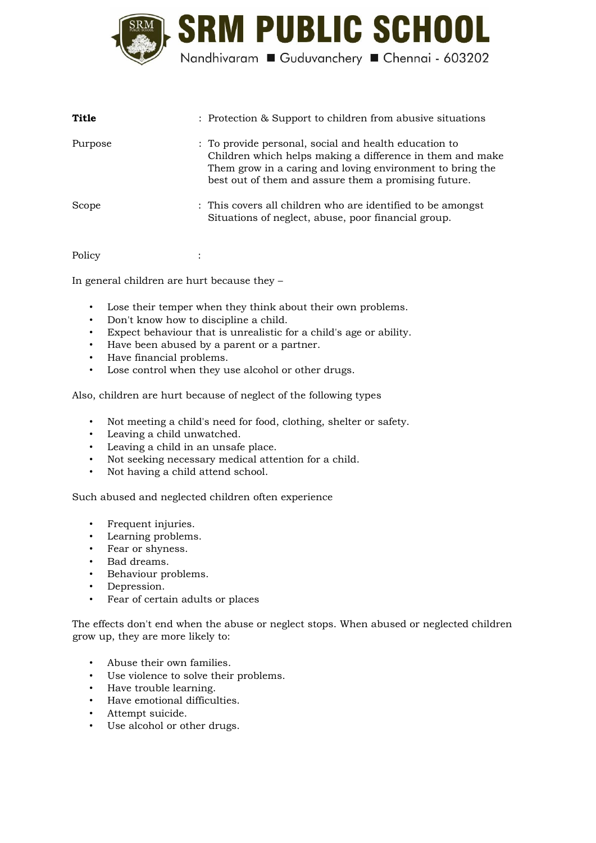

| Title   | : Protection & Support to children from abusive situations                                                                                                                                                                              |
|---------|-----------------------------------------------------------------------------------------------------------------------------------------------------------------------------------------------------------------------------------------|
| Purpose | : To provide personal, social and health education to<br>Children which helps making a difference in them and make<br>Them grow in a caring and loving environment to bring the<br>best out of them and assure them a promising future. |
| Scope   | : This covers all children who are identified to be amongst<br>Situations of neglect, abuse, poor financial group.                                                                                                                      |

Policy :

In general children are hurt because they –

- Lose their temper when they think about their own problems.
- Don't know how to discipline a child.
- Expect behaviour that is unrealistic for a child's age or ability.
- Have been abused by a parent or a partner.
- Have financial problems.
- Lose control when they use alcohol or other drugs.

Also, children are hurt because of neglect of the following types

- Not meeting a child's need for food, clothing, shelter or safety.
- Leaving a child unwatched.
- Leaving a child in an unsafe place.
- Not seeking necessary medical attention for a child.
- Not having a child attend school.

Such abused and neglected children often experience

- Frequent injuries.
- Learning problems.
- Fear or shyness.
- Bad dreams.
- Behaviour problems.
- Depression.
- Fear of certain adults or places

The effects don't end when the abuse or neglect stops. When abused or neglected children grow up, they are more likely to:

- Abuse their own families.
- Use violence to solve their problems.
- Have trouble learning.
- Have emotional difficulties.
- Attempt suicide.
- Use alcohol or other drugs.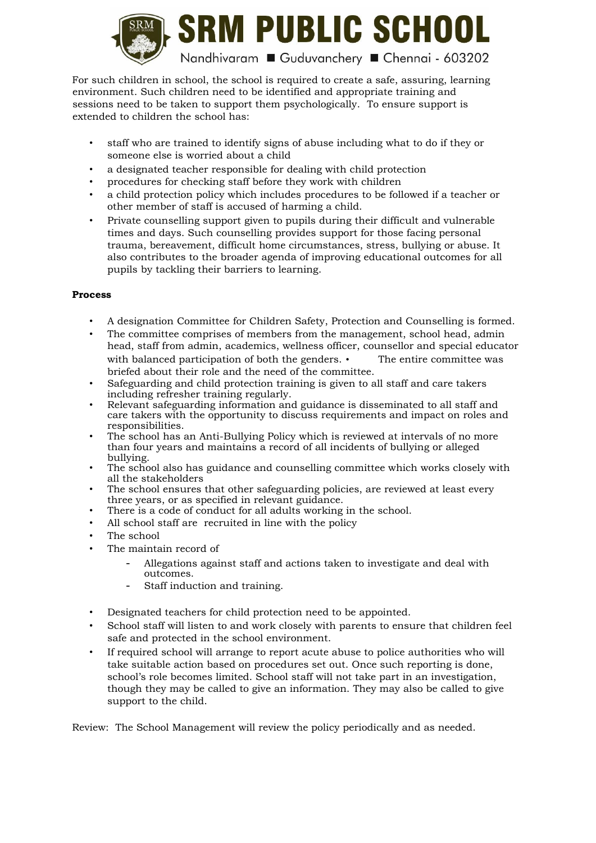

For such children in school, the school is required to create a safe, assuring, learning environment. Such children need to be identified and appropriate training and sessions need to be taken to support them psychologically. To ensure support is extended to children the school has:

- staff who are trained to identify signs of abuse including what to do if they or someone else is worried about a child
- a designated teacher responsible for dealing with child protection
- procedures for checking staff before they work with children
- a child protection policy which includes procedures to be followed if a teacher or other member of staff is accused of harming a child.
- Private counselling support given to pupils during their difficult and vulnerable times and days. Such counselling provides support for those facing personal trauma, bereavement, difficult home circumstances, stress, bullying or abuse. It also contributes to the broader agenda of improving educational outcomes for all pupils by tackling their barriers to learning.

## **Process**

- A designation Committee for Children Safety, Protection and Counselling is formed.
- The committee comprises of members from the management, school head, admin head, staff from admin, academics, wellness officer, counsellor and special educator with balanced participation of both the genders.  $\cdot$  The entire committee was briefed about their role and the need of the committee.
- Safeguarding and child protection training is given to all staff and care takers including refresher training regularly.
- Relevant safeguarding information and guidance is disseminated to all staff and care takers with the opportunity to discuss requirements and impact on roles and responsibilities.
- The school has an Anti-Bullying Policy which is reviewed at intervals of no more than four years and maintains a record of all incidents of bullying or alleged bullying.
- The school also has guidance and counselling committee which works closely with all the stakeholders
- The school ensures that other safeguarding policies, are reviewed at least every three years, or as specified in relevant guidance.
- There is a code of conduct for all adults working in the school.
- All school staff are recruited in line with the policy
- The school
- The maintain record of
	- Allegations against staff and actions taken to investigate and deal with outcomes.
	- Staff induction and training.
- Designated teachers for child protection need to be appointed.
- School staff will listen to and work closely with parents to ensure that children feel safe and protected in the school environment.
- If required school will arrange to report acute abuse to police authorities who will take suitable action based on procedures set out. Once such reporting is done, school's role becomes limited. School staff will not take part in an investigation, though they may be called to give an information. They may also be called to give support to the child.

Review: The School Management will review the policy periodically and as needed.